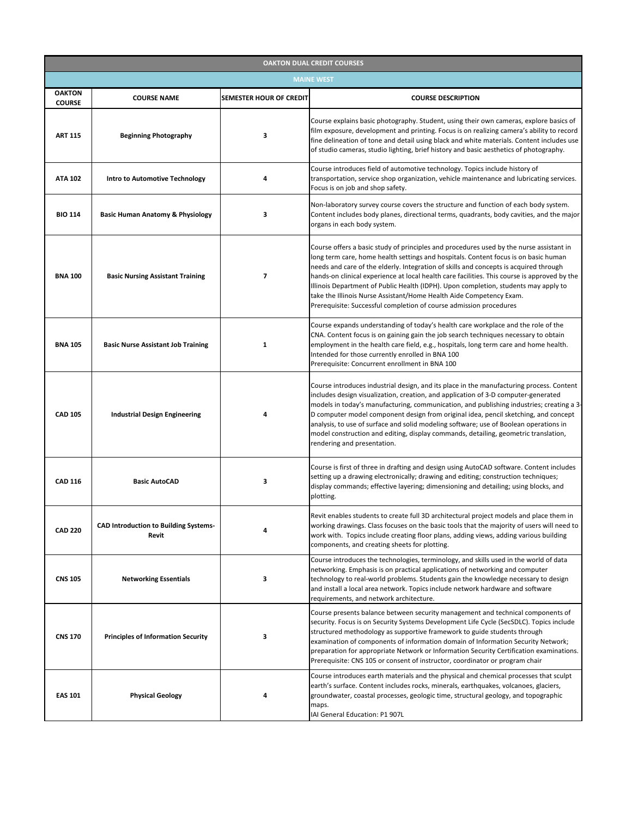| <b>OAKTON DUAL CREDIT COURSES</b> |                                                              |                                |                                                                                                                                                                                                                                                                                                                                                                                                                                                                                                                                                                                                             |  |  |
|-----------------------------------|--------------------------------------------------------------|--------------------------------|-------------------------------------------------------------------------------------------------------------------------------------------------------------------------------------------------------------------------------------------------------------------------------------------------------------------------------------------------------------------------------------------------------------------------------------------------------------------------------------------------------------------------------------------------------------------------------------------------------------|--|--|
| <b>MAINE WEST</b>                 |                                                              |                                |                                                                                                                                                                                                                                                                                                                                                                                                                                                                                                                                                                                                             |  |  |
| <b>OAKTON</b><br><b>COURSE</b>    | <b>COURSE NAME</b>                                           | <b>SEMESTER HOUR OF CREDIT</b> | <b>COURSE DESCRIPTION</b>                                                                                                                                                                                                                                                                                                                                                                                                                                                                                                                                                                                   |  |  |
| <b>ART 115</b>                    | <b>Beginning Photography</b>                                 | 3                              | Course explains basic photography. Student, using their own cameras, explore basics of<br>film exposure, development and printing. Focus is on realizing camera's ability to record<br>fine delineation of tone and detail using black and white materials. Content includes use<br>of studio cameras, studio lighting, brief history and basic aesthetics of photography.                                                                                                                                                                                                                                  |  |  |
| <b>ATA 102</b>                    | <b>Intro to Automotive Technology</b>                        | 4                              | Course introduces field of automotive technology. Topics include history of<br>transportation, service shop organization, vehicle maintenance and lubricating services.<br>Focus is on job and shop safety.                                                                                                                                                                                                                                                                                                                                                                                                 |  |  |
| <b>BIO 114</b>                    | <b>Basic Human Anatomy &amp; Physiology</b>                  | 3                              | Non-laboratory survey course covers the structure and function of each body system.<br>Content includes body planes, directional terms, quadrants, body cavities, and the major<br>organs in each body system.                                                                                                                                                                                                                                                                                                                                                                                              |  |  |
| <b>BNA 100</b>                    | <b>Basic Nursing Assistant Training</b>                      | $\overline{ }$                 | Course offers a basic study of principles and procedures used by the nurse assistant in<br>long term care, home health settings and hospitals. Content focus is on basic human<br>needs and care of the elderly. Integration of skills and concepts is acquired through<br>hands-on clinical experience at local health care facilities. This course is approved by the<br>Illinois Department of Public Health (IDPH). Upon completion, students may apply to<br>take the Illinois Nurse Assistant/Home Health Aide Competency Exam.<br>Prerequisite: Successful completion of course admission procedures |  |  |
| <b>BNA 105</b>                    | <b>Basic Nurse Assistant Job Training</b>                    |                                | Course expands understanding of today's health care workplace and the role of the<br>CNA. Content focus is on gaining gain the job search techniques necessary to obtain<br>employment in the health care field, e.g., hospitals, long term care and home health.<br>Intended for those currently enrolled in BNA 100<br>Prerequisite: Concurrent enrollment in BNA 100                                                                                                                                                                                                                                     |  |  |
| <b>CAD 105</b>                    | <b>Industrial Design Engineering</b>                         |                                | Course introduces industrial design, and its place in the manufacturing process. Content<br>includes design visualization, creation, and application of 3-D computer-generated<br>models in today's manufacturing, communication, and publishing industries; creating a 3-<br>D computer model component design from original idea, pencil sketching, and concept<br>analysis, to use of surface and solid modeling software; use of Boolean operations in<br>model construction and editing, display commands, detailing, geometric translation,<br>rendering and presentation.                            |  |  |
| <b>CAD 116</b>                    | <b>Basic AutoCAD</b>                                         | 3                              | Course is first of three in drafting and design using AutoCAD software. Content includes<br>setting up a drawing electronically; drawing and editing; construction techniques;<br>display commands; effective layering; dimensioning and detailing; using blocks, and<br>plotting.                                                                                                                                                                                                                                                                                                                          |  |  |
| <b>CAD 220</b>                    | <b>CAD Introduction to Building Systems-</b><br><b>Revit</b> | 4                              | Revit enables students to create full 3D architectural project models and place them in<br>working drawings. Class focuses on the basic tools that the majority of users will need to<br>work with. Topics include creating floor plans, adding views, adding various building<br>components, and creating sheets for plotting.                                                                                                                                                                                                                                                                             |  |  |
| <b>CNS 105</b>                    | <b>Networking Essentials</b>                                 | 3                              | Course introduces the technologies, terminology, and skills used in the world of data<br>networking. Emphasis is on practical applications of networking and computer<br>technology to real-world problems. Students gain the knowledge necessary to design<br>and install a local area network. Topics include network hardware and software<br>requirements, and network architecture.                                                                                                                                                                                                                    |  |  |
| <b>CNS 170</b>                    | <b>Principles of Information Security</b>                    | 3                              | Course presents balance between security management and technical components of<br>security. Focus is on Security Systems Development Life Cycle (SecSDLC). Topics include<br>structured methodology as supportive framework to guide students through<br>examination of components of information domain of Information Security Network;<br>preparation for appropriate Network or Information Security Certification examinations.<br>Prerequisite: CNS 105 or consent of instructor, coordinator or program chair                                                                                       |  |  |
| <b>EAS 101</b>                    | <b>Physical Geology</b>                                      | 4                              | Course introduces earth materials and the physical and chemical processes that sculpt<br>earth's surface. Content includes rocks, minerals, earthquakes, volcanoes, glaciers,<br>groundwater, coastal processes, geologic time, structural geology, and topographic<br>maps.<br>IAI General Education: P1 907L                                                                                                                                                                                                                                                                                              |  |  |